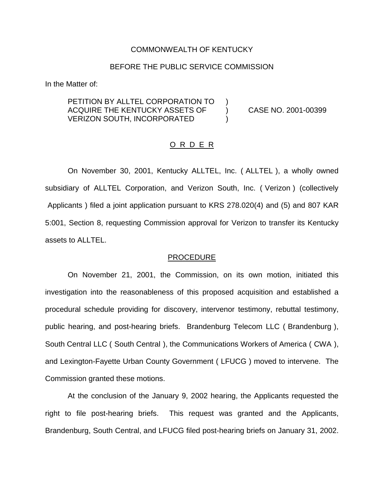#### COMMONWEALTH OF KENTUCKY

## BEFORE THE PUBLIC SERVICE COMMISSION

In the Matter of:

# PETITION BY ALLTEL CORPORATION TO ACQUIRE THE KENTUCKY ASSETS OF ) CASE NO. 2001-00399 VERIZON SOUTH, INCORPORATED

## O R D E R

On November 30, 2001, Kentucky ALLTEL, Inc. ( ALLTEL ), a wholly owned subsidiary of ALLTEL Corporation, and Verizon South, Inc. ( Verizon ) (collectively Applicants ) filed a joint application pursuant to KRS 278.020(4) and (5) and 807 KAR 5:001, Section 8, requesting Commission approval for Verizon to transfer its Kentucky assets to ALLTEL.

#### PROCEDURE

On November 21, 2001, the Commission, on its own motion, initiated this investigation into the reasonableness of this proposed acquisition and established a procedural schedule providing for discovery, intervenor testimony, rebuttal testimony, public hearing, and post-hearing briefs. Brandenburg Telecom LLC ( Brandenburg ), South Central LLC ( South Central ), the Communications Workers of America ( CWA ), and Lexington-Fayette Urban County Government ( LFUCG ) moved to intervene. The Commission granted these motions.

At the conclusion of the January 9, 2002 hearing, the Applicants requested the right to file post-hearing briefs. This request was granted and the Applicants, Brandenburg, South Central, and LFUCG filed post-hearing briefs on January 31, 2002.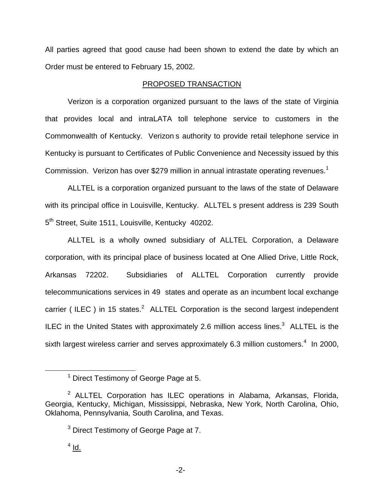All parties agreed that good cause had been shown to extend the date by which an Order must be entered to February 15, 2002.

## PROPOSED TRANSACTION

Verizon is a corporation organized pursuant to the laws of the state of Virginia that provides local and intraLATA toll telephone service to customers in the Commonwealth of Kentucky. Verizon s authority to provide retail telephone service in Kentucky is pursuant to Certificates of Public Convenience and Necessity issued by this Commission. Verizon has over \$279 million in annual intrastate operating revenues.<sup>1</sup>

ALLTEL is a corporation organized pursuant to the laws of the state of Delaware with its principal office in Louisville, Kentucky. ALLTEL s present address is 239 South 5<sup>th</sup> Street, Suite 1511, Louisville, Kentucky 40202.

ALLTEL is a wholly owned subsidiary of ALLTEL Corporation, a Delaware corporation, with its principal place of business located at One Allied Drive, Little Rock, Arkansas 72202. Subsidiaries of ALLTEL Corporation currently provide telecommunications services in 49 states and operate as an incumbent local exchange carrier ( ILEC ) in 15 states.<sup>2</sup> ALLTEL Corporation is the second largest independent ILEC in the United States with approximately 2.6 million access lines. $3$  ALLTEL is the sixth largest wireless carrier and serves approximately 6.3 million customers.<sup>4</sup> In 2000,

<sup>&</sup>lt;sup>1</sup> Direct Testimony of George Page at 5.

 $2$  ALLTEL Corporation has ILEC operations in Alabama, Arkansas, Florida, Georgia, Kentucky, Michigan, Mississippi, Nebraska, New York, North Carolina, Ohio, Oklahoma, Pennsylvania, South Carolina, and Texas.

<sup>&</sup>lt;sup>3</sup> Direct Testimony of George Page at 7.

 $<sup>4</sup>$  Id.</sup>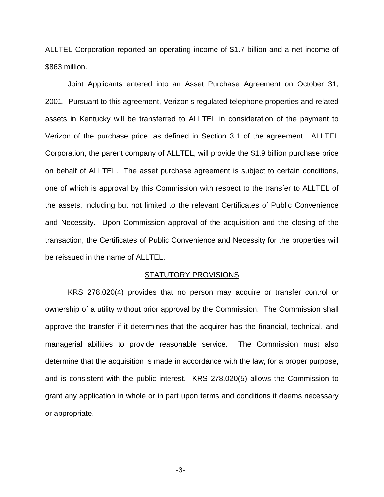ALLTEL Corporation reported an operating income of \$1.7 billion and a net income of \$863 million.

Joint Applicants entered into an Asset Purchase Agreement on October 31, 2001. Pursuant to this agreement, Verizon s regulated telephone properties and related assets in Kentucky will be transferred to ALLTEL in consideration of the payment to Verizon of the purchase price, as defined in Section 3.1 of the agreement. ALLTEL Corporation, the parent company of ALLTEL, will provide the \$1.9 billion purchase price on behalf of ALLTEL. The asset purchase agreement is subject to certain conditions, one of which is approval by this Commission with respect to the transfer to ALLTEL of the assets, including but not limited to the relevant Certificates of Public Convenience and Necessity. Upon Commission approval of the acquisition and the closing of the transaction, the Certificates of Public Convenience and Necessity for the properties will be reissued in the name of ALLTEL.

#### STATUTORY PROVISIONS

KRS 278.020(4) provides that no person may acquire or transfer control or ownership of a utility without prior approval by the Commission. The Commission shall approve the transfer if it determines that the acquirer has the financial, technical, and managerial abilities to provide reasonable service. The Commission must also determine that the acquisition is made in accordance with the law, for a proper purpose, and is consistent with the public interest. KRS 278.020(5) allows the Commission to grant any application in whole or in part upon terms and conditions it deems necessary or appropriate.

-3-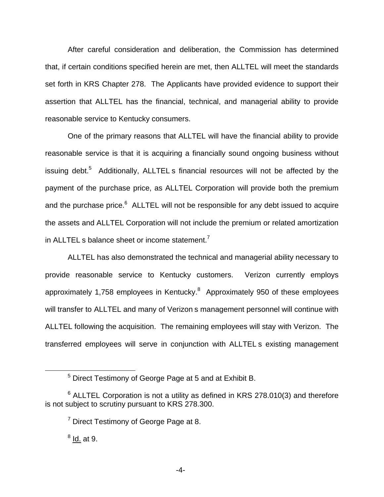After careful consideration and deliberation, the Commission has determined that, if certain conditions specified herein are met, then ALLTEL will meet the standards set forth in KRS Chapter 278. The Applicants have provided evidence to support their assertion that ALLTEL has the financial, technical, and managerial ability to provide reasonable service to Kentucky consumers.

One of the primary reasons that ALLTEL will have the financial ability to provide reasonable service is that it is acquiring a financially sound ongoing business without issuing debt.<sup>5</sup> Additionally, ALLTEL s financial resources will not be affected by the payment of the purchase price, as ALLTEL Corporation will provide both the premium and the purchase price.<sup>6</sup> ALLTEL will not be responsible for any debt issued to acquire the assets and ALLTEL Corporation will not include the premium or related amortization in ALLTEL s balance sheet or income statement. $<sup>7</sup>$ </sup>

ALLTEL has also demonstrated the technical and managerial ability necessary to provide reasonable service to Kentucky customers. Verizon currently employs approximately 1,758 employees in Kentucky. $8$  Approximately 950 of these employees will transfer to ALLTEL and many of Verizon s management personnel will continue with ALLTEL following the acquisition. The remaining employees will stay with Verizon. The transferred employees will serve in conjunction with ALLTEL s existing management

 $<sup>8</sup>$  Id. at 9.</sup>

<sup>5</sup> Direct Testimony of George Page at 5 and at Exhibit B.

 $6$  ALLTEL Corporation is not a utility as defined in KRS 278.010(3) and therefore is not subject to scrutiny pursuant to KRS 278.300.

 $7$  Direct Testimony of George Page at 8.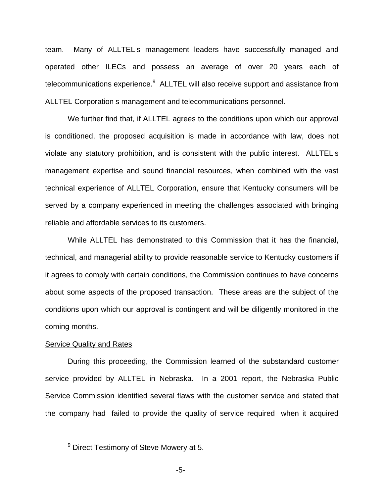team. Many of ALLTEL s management leaders have successfully managed and operated other ILECs and possess an average of over 20 years each of telecommunications experience.<sup>9</sup> ALLTEL will also receive support and assistance from ALLTEL Corporation s management and telecommunications personnel.

We further find that, if ALLTEL agrees to the conditions upon which our approval is conditioned, the proposed acquisition is made in accordance with law, does not violate any statutory prohibition, and is consistent with the public interest. ALLTEL s management expertise and sound financial resources, when combined with the vast technical experience of ALLTEL Corporation, ensure that Kentucky consumers will be served by a company experienced in meeting the challenges associated with bringing reliable and affordable services to its customers.

While ALLTEL has demonstrated to this Commission that it has the financial, technical, and managerial ability to provide reasonable service to Kentucky customers if it agrees to comply with certain conditions, the Commission continues to have concerns about some aspects of the proposed transaction. These areas are the subject of the conditions upon which our approval is contingent and will be diligently monitored in the coming months.

## Service Quality and Rates

During this proceeding, the Commission learned of the substandard customer service provided by ALLTEL in Nebraska. In a 2001 report, the Nebraska Public Service Commission identified several flaws with the customer service and stated that the company had failed to provide the quality of service required when it acquired

<sup>9</sup> Direct Testimony of Steve Mowery at 5.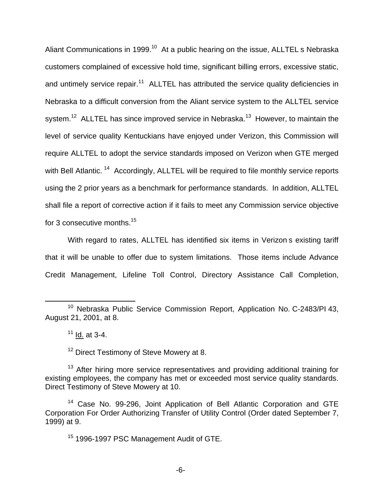Aliant Communications in 1999.<sup>10</sup> At a public hearing on the issue, ALLTEL s Nebraska customers complained of excessive hold time, significant billing errors, excessive static, and untimely service repair.<sup>11</sup> ALLTEL has attributed the service quality deficiencies in Nebraska to a difficult conversion from the Aliant service system to the ALLTEL service system.<sup>12</sup> ALLTEL has since improved service in Nebraska.<sup>13</sup> However, to maintain the level of service quality Kentuckians have enjoyed under Verizon, this Commission will require ALLTEL to adopt the service standards imposed on Verizon when GTE merged with Bell Atlantic.<sup>14</sup> Accordingly, ALLTEL will be required to file monthly service reports using the 2 prior years as a benchmark for performance standards. In addition, ALLTEL shall file a report of corrective action if it fails to meet any Commission service objective for 3 consecutive months.<sup>15</sup>

With regard to rates, ALLTEL has identified six items in Verizon s existing tariff that it will be unable to offer due to system limitations. Those items include Advance Credit Management, Lifeline Toll Control, Directory Assistance Call Completion,

<sup>12</sup> Direct Testimony of Steve Mowery at 8.

<sup>&</sup>lt;sup>10</sup> Nebraska Public Service Commission Report, Application No. C-2483/PI 43, August 21, 2001, at 8.

 $11$  Id. at 3-4.

 $13$  After hiring more service representatives and providing additional training for existing employees, the company has met or exceeded most service quality standards. Direct Testimony of Steve Mowery at 10.

<sup>&</sup>lt;sup>14</sup> Case No. 99-296, Joint Application of Bell Atlantic Corporation and GTE Corporation For Order Authorizing Transfer of Utility Control (Order dated September 7, 1999) at 9.

<sup>&</sup>lt;sup>15</sup> 1996-1997 PSC Management Audit of GTE.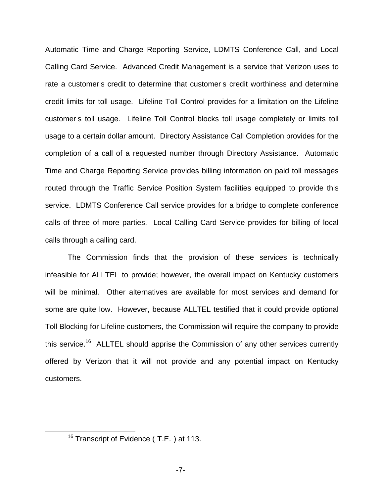Automatic Time and Charge Reporting Service, LDMTS Conference Call, and Local Calling Card Service. Advanced Credit Management is a service that Verizon uses to rate a customer s credit to determine that customer s credit worthiness and determine credit limits for toll usage. Lifeline Toll Control provides for a limitation on the Lifeline customer s toll usage. Lifeline Toll Control blocks toll usage completely or limits toll usage to a certain dollar amount. Directory Assistance Call Completion provides for the completion of a call of a requested number through Directory Assistance. Automatic Time and Charge Reporting Service provides billing information on paid toll messages routed through the Traffic Service Position System facilities equipped to provide this service. LDMTS Conference Call service provides for a bridge to complete conference calls of three of more parties. Local Calling Card Service provides for billing of local calls through a calling card.

The Commission finds that the provision of these services is technically infeasible for ALLTEL to provide; however, the overall impact on Kentucky customers will be minimal. Other alternatives are available for most services and demand for some are quite low. However, because ALLTEL testified that it could provide optional Toll Blocking for Lifeline customers, the Commission will require the company to provide this service.<sup>16</sup> ALLTEL should apprise the Commission of any other services currently offered by Verizon that it will not provide and any potential impact on Kentucky customers.

<sup>&</sup>lt;sup>16</sup> Transcript of Evidence (T.E.) at 113.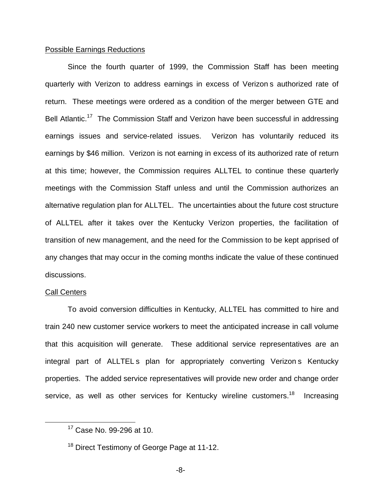## Possible Earnings Reductions

Since the fourth quarter of 1999, the Commission Staff has been meeting quarterly with Verizon to address earnings in excess of Verizon s authorized rate of return. These meetings were ordered as a condition of the merger between GTE and Bell Atlantic.<sup>17</sup> The Commission Staff and Verizon have been successful in addressing earnings issues and service-related issues. Verizon has voluntarily reduced its earnings by \$46 million. Verizon is not earning in excess of its authorized rate of return at this time; however, the Commission requires ALLTEL to continue these quarterly meetings with the Commission Staff unless and until the Commission authorizes an alternative regulation plan for ALLTEL. The uncertainties about the future cost structure of ALLTEL after it takes over the Kentucky Verizon properties, the facilitation of transition of new management, and the need for the Commission to be kept apprised of any changes that may occur in the coming months indicate the value of these continued discussions.

#### Call Centers

To avoid conversion difficulties in Kentucky, ALLTEL has committed to hire and train 240 new customer service workers to meet the anticipated increase in call volume that this acquisition will generate. These additional service representatives are an integral part of ALLTELs plan for appropriately converting Verizon s Kentucky properties. The added service representatives will provide new order and change order service, as well as other services for Kentucky wireline customers.<sup>18</sup> Increasing

<sup>17</sup> Case No. 99-296 at 10.

<sup>&</sup>lt;sup>18</sup> Direct Testimony of George Page at 11-12.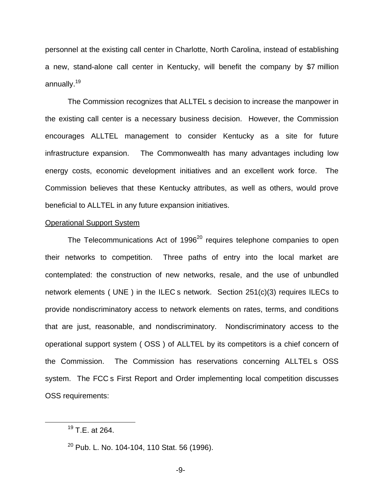personnel at the existing call center in Charlotte, North Carolina, instead of establishing a new, stand-alone call center in Kentucky, will benefit the company by \$7 million annually.19

The Commission recognizes that ALLTEL s decision to increase the manpower in the existing call center is a necessary business decision. However, the Commission encourages ALLTEL management to consider Kentucky as a site for future infrastructure expansion. The Commonwealth has many advantages including low energy costs, economic development initiatives and an excellent work force. The Commission believes that these Kentucky attributes, as well as others, would prove beneficial to ALLTEL in any future expansion initiatives.

## Operational Support System

The Telecommunications Act of  $1996^{20}$  requires telephone companies to open their networks to competition. Three paths of entry into the local market are contemplated: the construction of new networks, resale, and the use of unbundled network elements ( UNE ) in the ILEC s network. Section 251(c)(3) requires ILECs to provide nondiscriminatory access to network elements on rates, terms, and conditions that are just, reasonable, and nondiscriminatory. Nondiscriminatory access to the operational support system ( OSS ) of ALLTEL by its competitors is a chief concern of the Commission. The Commission has reservations concerning ALLTEL s OSS system. The FCC s First Report and Order implementing local competition discusses OSS requirements:

<sup>19</sup> T.E. at 264.

<sup>&</sup>lt;sup>20</sup> Pub. L. No. 104-104, 110 Stat. 56 (1996).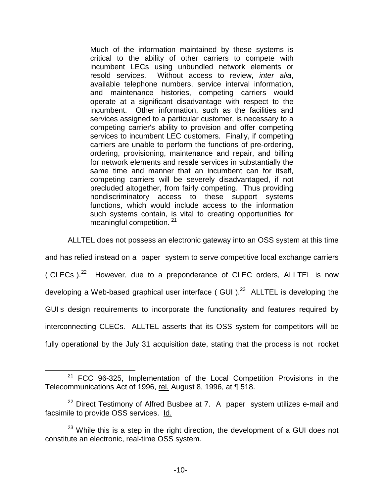Much of the information maintained by these systems is critical to the ability of other carriers to compete with incumbent LECs using unbundled network elements or resold services. Without access to review, *inter alia*, available telephone numbers, service interval information, and maintenance histories, competing carriers would operate at a significant disadvantage with respect to the incumbent. Other information, such as the facilities and services assigned to a particular customer, is necessary to a competing carrier's ability to provision and offer competing services to incumbent LEC customers. Finally, if competing carriers are unable to perform the functions of pre-ordering, ordering, provisioning, maintenance and repair, and billing for network elements and resale services in substantially the same time and manner that an incumbent can for itself. competing carriers will be severely disadvantaged, if not precluded altogether, from fairly competing. Thus providing nondiscriminatory access to these support systems functions, which would include access to the information such systems contain, is vital to creating opportunities for meaningful competition. <sup>21</sup>

ALLTEL does not possess an electronic gateway into an OSS system at this time and has relied instead on a paper system to serve competitive local exchange carriers ( CLECs ).<sup>22</sup> However, due to a preponderance of CLEC orders, ALLTEL is now developing a Web-based graphical user interface (GUI).<sup>23</sup> ALLTEL is developing the GUI s design requirements to incorporate the functionality and features required by interconnecting CLECs. ALLTEL asserts that its OSS system for competitors will be fully operational by the July 31 acquisition date, stating that the process is not rocket

 $21$  FCC 96-325, Implementation of the Local Competition Provisions in the Telecommunications Act of 1996, rel. August 8, 1996, at ¶ 518.

 $22$  Direct Testimony of Alfred Busbee at 7. A paper system utilizes e-mail and facsimile to provide OSS services. Id.

 $23$  While this is a step in the right direction, the development of a GUI does not constitute an electronic, real-time OSS system.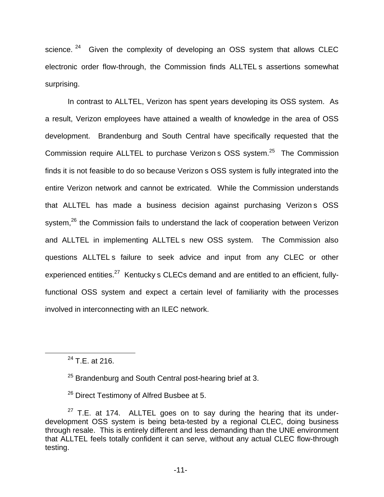science. <sup>24</sup> Given the complexity of developing an OSS system that allows CLEC electronic order flow-through, the Commission finds ALLTEL s assertions somewhat surprising.

In contrast to ALLTEL, Verizon has spent years developing its OSS system. As a result, Verizon employees have attained a wealth of knowledge in the area of OSS development. Brandenburg and South Central have specifically requested that the Commission require ALLTEL to purchase Verizon s OSS system.<sup>25</sup> The Commission finds it is not feasible to do so because Verizon s OSS system is fully integrated into the entire Verizon network and cannot be extricated. While the Commission understands that ALLTEL has made a business decision against purchasing Verizon s OSS system,<sup>26</sup> the Commission fails to understand the lack of cooperation between Verizon and ALLTEL in implementing ALLTEL s new OSS system. The Commission also questions ALLTEL s failure to seek advice and input from any CLEC or other experienced entities.<sup>27</sup> Kentucky s CLECs demand and are entitled to an efficient, fullyfunctional OSS system and expect a certain level of familiarity with the processes involved in interconnecting with an ILEC network.

 $24$  T.E. at 216.

<sup>26</sup> Direct Testimony of Alfred Busbee at 5.

 $25$  Brandenburg and South Central post-hearing brief at 3.

 $27$  T.E. at 174. ALLTEL goes on to say during the hearing that its underdevelopment OSS system is being beta-tested by a regional CLEC, doing business through resale. This is entirely different and less demanding than the UNE environment that ALLTEL feels totally confident it can serve, without any actual CLEC flow-through testing.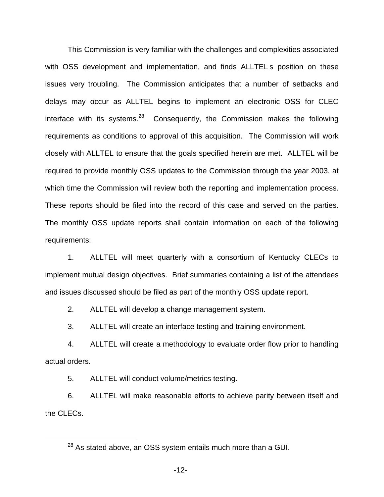This Commission is very familiar with the challenges and complexities associated with OSS development and implementation, and finds ALLTELs position on these issues very troubling. The Commission anticipates that a number of setbacks and delays may occur as ALLTEL begins to implement an electronic OSS for CLEC interface with its systems.<sup>28</sup> Consequently, the Commission makes the following requirements as conditions to approval of this acquisition. The Commission will work closely with ALLTEL to ensure that the goals specified herein are met. ALLTEL will be required to provide monthly OSS updates to the Commission through the year 2003, at which time the Commission will review both the reporting and implementation process. These reports should be filed into the record of this case and served on the parties. The monthly OSS update reports shall contain information on each of the following requirements:

1. ALLTEL will meet quarterly with a consortium of Kentucky CLECs to implement mutual design objectives. Brief summaries containing a list of the attendees and issues discussed should be filed as part of the monthly OSS update report.

2. ALLTEL will develop a change management system.

3. ALLTEL will create an interface testing and training environment.

4. ALLTEL will create a methodology to evaluate order flow prior to handling actual orders.

5. ALLTEL will conduct volume/metrics testing.

6. ALLTEL will make reasonable efforts to achieve parity between itself and the CLECs.

 $28$  As stated above, an OSS system entails much more than a GUI.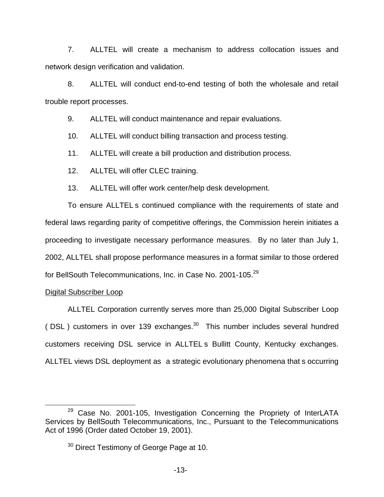7. ALLTEL will create a mechanism to address collocation issues and network design verification and validation.

8. ALLTEL will conduct end-to-end testing of both the wholesale and retail trouble report processes.

9. ALLTEL will conduct maintenance and repair evaluations.

10. ALLTEL will conduct billing transaction and process testing.

11. ALLTEL will create a bill production and distribution process.

12. ALLTEL will offer CLEC training.

13. ALLTEL will offer work center/help desk development.

To ensure ALLTEL s continued compliance with the requirements of state and federal laws regarding parity of competitive offerings, the Commission herein initiates a proceeding to investigate necessary performance measures. By no later than July 1, 2002, ALLTEL shall propose performance measures in a format similar to those ordered for BellSouth Telecommunications, Inc. in Case No. 2001-105.<sup>29</sup>

## Digital Subscriber Loop

ALLTEL Corporation currently serves more than 25,000 Digital Subscriber Loop ( $DSL$ ) customers in over 139 exchanges.<sup>30</sup> This number includes several hundred customers receiving DSL service in ALLTEL s Bullitt County, Kentucky exchanges. ALLTEL views DSL deployment as a strategic evolutionary phenomena that s occurring

 $29$  Case No. 2001-105, Investigation Concerning the Propriety of InterLATA Services by BellSouth Telecommunications, Inc., Pursuant to the Telecommunications Act of 1996 (Order dated October 19, 2001).

<sup>&</sup>lt;sup>30</sup> Direct Testimony of George Page at 10.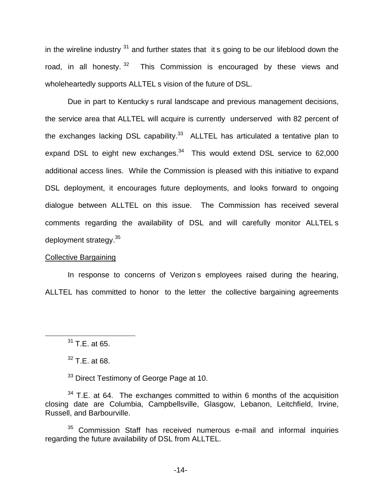in the wireline industry  $31$  and further states that it s going to be our lifeblood down the road, in all honesty.<sup>32</sup> This Commission is encouraged by these views and wholeheartedly supports ALLTEL s vision of the future of DSL.

Due in part to Kentucky s rural landscape and previous management decisions, the service area that ALLTEL will acquire is currently underserved with 82 percent of the exchanges lacking DSL capability. $33$  ALLTEL has articulated a tentative plan to expand DSL to eight new exchanges. $34$  This would extend DSL service to 62,000 additional access lines. While the Commission is pleased with this initiative to expand DSL deployment, it encourages future deployments, and looks forward to ongoing dialogue between ALLTEL on this issue. The Commission has received several comments regarding the availability of DSL and will carefully monitor ALLTEL s deployment strategy.35

## Collective Bargaining

In response to concerns of Verizon s employees raised during the hearing, ALLTEL has committed to honor to the letter the collective bargaining agreements

 $32$  T.E. at 68.

<sup>33</sup> Direct Testimony of George Page at 10.

 $34$  T.E. at 64. The exchanges committed to within 6 months of the acquisition closing date are Columbia, Campbellsville, Glasgow, Lebanon, Leitchfield, Irvine, Russell, and Barbourville.

<sup>35</sup> Commission Staff has received numerous e-mail and informal inquiries regarding the future availability of DSL from ALLTEL.

<sup>31</sup> T.E. at 65.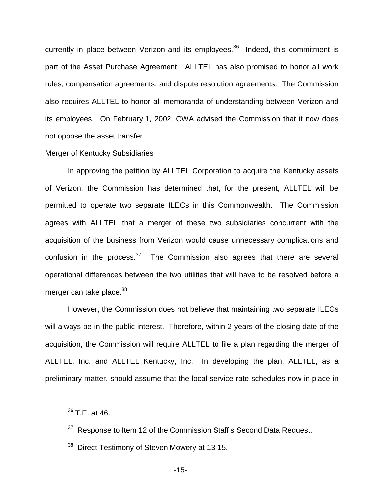currently in place between Verizon and its employees.<sup>36</sup> Indeed, this commitment is part of the Asset Purchase Agreement. ALLTEL has also promised to honor all work rules, compensation agreements, and dispute resolution agreements. The Commission also requires ALLTEL to honor all memoranda of understanding between Verizon and its employees. On February 1, 2002, CWA advised the Commission that it now does not oppose the asset transfer.

## Merger of Kentucky Subsidiaries

In approving the petition by ALLTEL Corporation to acquire the Kentucky assets of Verizon, the Commission has determined that, for the present, ALLTEL will be permitted to operate two separate ILECs in this Commonwealth. The Commission agrees with ALLTEL that a merger of these two subsidiaries concurrent with the acquisition of the business from Verizon would cause unnecessary complications and confusion in the process. $37$  The Commission also agrees that there are several operational differences between the two utilities that will have to be resolved before a merger can take place.<sup>38</sup>

However, the Commission does not believe that maintaining two separate ILECs will always be in the public interest. Therefore, within 2 years of the closing date of the acquisition, the Commission will require ALLTEL to file a plan regarding the merger of ALLTEL, Inc. and ALLTEL Kentucky, Inc. In developing the plan, ALLTEL, as a preliminary matter, should assume that the local service rate schedules now in place in

<sup>36</sup> T.E. at 46.

<sup>&</sup>lt;sup>37</sup> Response to Item 12 of the Commission Staff s Second Data Request.

<sup>&</sup>lt;sup>38</sup> Direct Testimony of Steven Mowery at 13-15.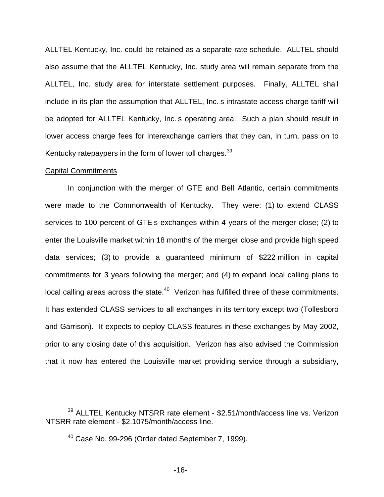ALLTEL Kentucky, Inc. could be retained as a separate rate schedule. ALLTEL should also assume that the ALLTEL Kentucky, Inc. study area will remain separate from the ALLTEL, Inc. study area for interstate settlement purposes. Finally, ALLTEL shall include in its plan the assumption that ALLTEL, Inc. s intrastate access charge tariff will be adopted for ALLTEL Kentucky, Inc. s operating area. Such a plan should result in lower access charge fees for interexchange carriers that they can, in turn, pass on to Kentucky ratepaypers in the form of lower toll charges.<sup>39</sup>

#### Capital Commitments

In conjunction with the merger of GTE and Bell Atlantic, certain commitments were made to the Commonwealth of Kentucky. They were: (1) to extend CLASS services to 100 percent of GTE s exchanges within 4 years of the merger close; (2) to enter the Louisville market within 18 months of the merger close and provide high speed data services; (3) to provide a guaranteed minimum of \$222 million in capital commitments for 3 years following the merger; and (4) to expand local calling plans to local calling areas across the state.<sup>40</sup> Verizon has fulfilled three of these commitments. It has extended CLASS services to all exchanges in its territory except two (Tollesboro and Garrison). It expects to deploy CLASS features in these exchanges by May 2002, prior to any closing date of this acquisition. Verizon has also advised the Commission that it now has entered the Louisville market providing service through a subsidiary,

 $39$  ALLTEL Kentucky NTSRR rate element - \$2.51/month/access line vs. Verizon NTSRR rate element - \$2.1075/month/access line.

 $40$  Case No. 99-296 (Order dated September 7, 1999).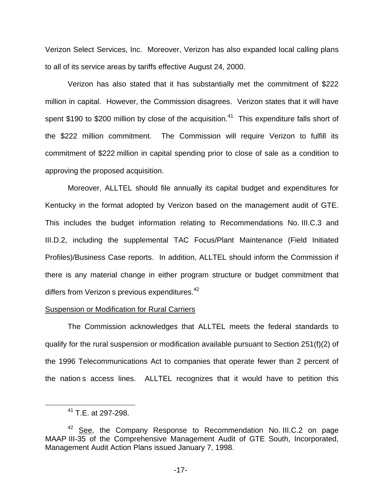Verizon Select Services, Inc. Moreover, Verizon has also expanded local calling plans to all of its service areas by tariffs effective August 24, 2000.

Verizon has also stated that it has substantially met the commitment of \$222 million in capital. However, the Commission disagrees. Verizon states that it will have spent \$190 to \$200 million by close of the acquisition.<sup>41</sup> This expenditure falls short of the \$222 million commitment. The Commission will require Verizon to fulfill its commitment of \$222 million in capital spending prior to close of sale as a condition to approving the proposed acquisition.

Moreover, ALLTEL should file annually its capital budget and expenditures for Kentucky in the format adopted by Verizon based on the management audit of GTE. This includes the budget information relating to Recommendations No. III.C.3 and III.D.2, including the supplemental TAC Focus/Plant Maintenance (Field Initiated Profiles)/Business Case reports. In addition, ALLTEL should inform the Commission if there is any material change in either program structure or budget commitment that differs from Verizon s previous expenditures.<sup>42</sup>

### Suspension or Modification for Rural Carriers

The Commission acknowledges that ALLTEL meets the federal standards to qualify for the rural suspension or modification available pursuant to Section 251(f)(2) of the 1996 Telecommunications Act to companies that operate fewer than 2 percent of the nation s access lines. ALLTEL recognizes that it would have to petition this

<sup>&</sup>lt;sup>41</sup> T.E. at 297-298.

 $42$  See, the Company Response to Recommendation No. III.C.2 on page MAAP III-35 of the Comprehensive Management Audit of GTE South, Incorporated, Management Audit Action Plans issued January 7, 1998.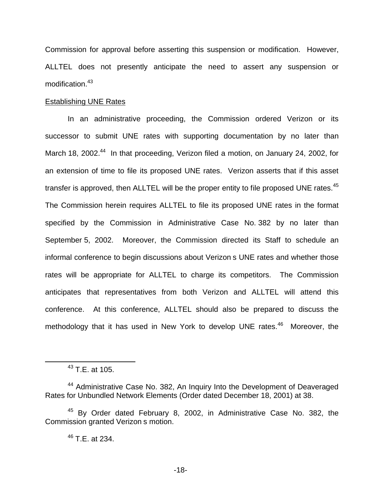Commission for approval before asserting this suspension or modification. However, ALLTEL does not presently anticipate the need to assert any suspension or modification.<sup>43</sup>

## Establishing UNE Rates

In an administrative proceeding, the Commission ordered Verizon or its successor to submit UNE rates with supporting documentation by no later than March 18, 2002.<sup>44</sup> In that proceeding, Verizon filed a motion, on January 24, 2002, for an extension of time to file its proposed UNE rates. Verizon asserts that if this asset transfer is approved, then ALLTEL will be the proper entity to file proposed UNE rates.<sup>45</sup> The Commission herein requires ALLTEL to file its proposed UNE rates in the format specified by the Commission in Administrative Case No. 382 by no later than September 5, 2002. Moreover, the Commission directed its Staff to schedule an informal conference to begin discussions about Verizon s UNE rates and whether those rates will be appropriate for ALLTEL to charge its competitors. The Commission anticipates that representatives from both Verizon and ALLTEL will attend this conference. At this conference, ALLTEL should also be prepared to discuss the methodology that it has used in New York to develop UNE rates.<sup>46</sup> Moreover, the

 $43$  T.E. at 105.

<sup>&</sup>lt;sup>44</sup> Administrative Case No. 382, An Inquiry Into the Development of Deaveraged Rates for Unbundled Network Elements (Order dated December 18, 2001) at 38.

<sup>&</sup>lt;sup>45</sup> By Order dated February 8, 2002, in Administrative Case No. 382, the Commission granted Verizon s motion.

<sup>46</sup> T.E. at 234.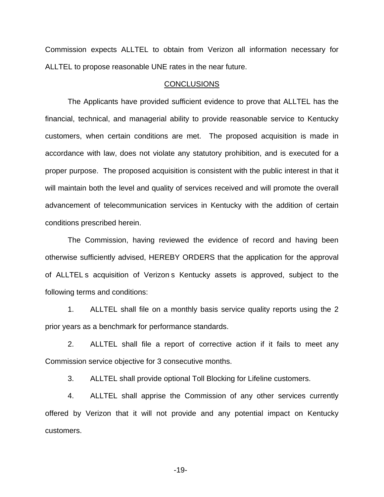Commission expects ALLTEL to obtain from Verizon all information necessary for ALLTEL to propose reasonable UNE rates in the near future.

## **CONCLUSIONS**

The Applicants have provided sufficient evidence to prove that ALLTEL has the financial, technical, and managerial ability to provide reasonable service to Kentucky customers, when certain conditions are met. The proposed acquisition is made in accordance with law, does not violate any statutory prohibition, and is executed for a proper purpose. The proposed acquisition is consistent with the public interest in that it will maintain both the level and quality of services received and will promote the overall advancement of telecommunication services in Kentucky with the addition of certain conditions prescribed herein.

The Commission, having reviewed the evidence of record and having been otherwise sufficiently advised, HEREBY ORDERS that the application for the approval of ALLTEL s acquisition of Verizon s Kentucky assets is approved, subject to the following terms and conditions:

1. ALLTEL shall file on a monthly basis service quality reports using the 2 prior years as a benchmark for performance standards.

2. ALLTEL shall file a report of corrective action if it fails to meet any Commission service objective for 3 consecutive months.

3. ALLTEL shall provide optional Toll Blocking for Lifeline customers.

4. ALLTEL shall apprise the Commission of any other services currently offered by Verizon that it will not provide and any potential impact on Kentucky customers.

-19-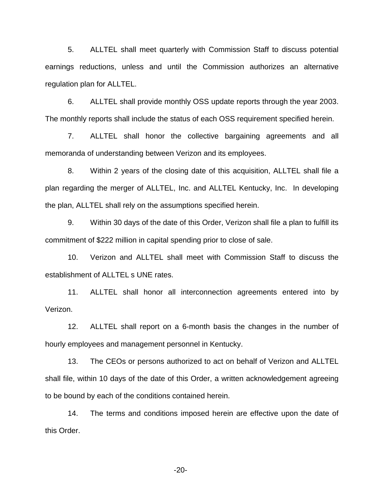5. ALLTEL shall meet quarterly with Commission Staff to discuss potential earnings reductions, unless and until the Commission authorizes an alternative regulation plan for ALLTEL.

6. ALLTEL shall provide monthly OSS update reports through the year 2003. The monthly reports shall include the status of each OSS requirement specified herein.

7. ALLTEL shall honor the collective bargaining agreements and all memoranda of understanding between Verizon and its employees.

8. Within 2 years of the closing date of this acquisition, ALLTEL shall file a plan regarding the merger of ALLTEL, Inc. and ALLTEL Kentucky, Inc. In developing the plan, ALLTEL shall rely on the assumptions specified herein.

9. Within 30 days of the date of this Order, Verizon shall file a plan to fulfill its commitment of \$222 million in capital spending prior to close of sale.

10. Verizon and ALLTEL shall meet with Commission Staff to discuss the establishment of ALLTEL s UNE rates.

11. ALLTEL shall honor all interconnection agreements entered into by Verizon.

12. ALLTEL shall report on a 6-month basis the changes in the number of hourly employees and management personnel in Kentucky.

13. The CEOs or persons authorized to act on behalf of Verizon and ALLTEL shall file, within 10 days of the date of this Order, a written acknowledgement agreeing to be bound by each of the conditions contained herein.

14. The terms and conditions imposed herein are effective upon the date of this Order.

-20-